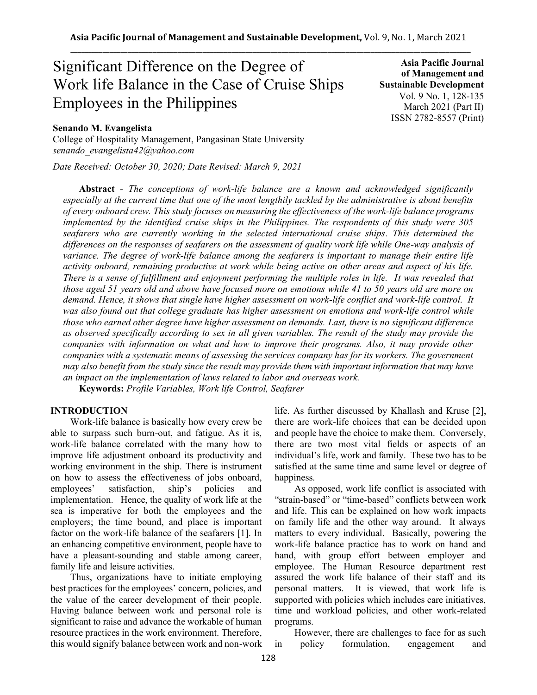# Significant Difference on the Degree of Work life Balance in the Case of Cruise Ships Employees in the Philippines

# **Senando M. Evangelista**

College of Hospitality Management, Pangasinan State University *senando\_evangelista42@yahoo.com*

*Date Received: October 30, 2020; Date Revised: March 9, 2021*

**Asia Pacific Journal of Management and Sustainable Development**  Vol. 9 No. 1, 128-135 March 2021 (Part II) ISSN 2782-8557 (Print)

**Abstract** *- The conceptions of work-life balance are a known and acknowledged significantly especially at the current time that one of the most lengthily tackled by the administrative is about benefits of every onboard crew. This study focuses on measuring the effectiveness of the work-life balance programs implemented by the identified cruise ships in the Philippines. The respondents of this study were 305 seafarers who are currently working in the selected international cruise ships. This determined the differences on the responses of seafarers on the assessment of quality work life while One-way analysis of variance. The degree of work-life balance among the seafarers is important to manage their entire life activity onboard, remaining productive at work while being active on other areas and aspect of his life. There is a sense of fulfillment and enjoyment performing the multiple roles in life. It was revealed that those aged 51 years old and above have focused more on emotions while 41 to 50 years old are more on demand. Hence, it shows that single have higher assessment on work-life conflict and work-life control. It*  was also found out that college graduate has higher assessment on emotions and work-life control while *those who earned other degree have higher assessment on demands. Last, there is no significant difference as observed specifically according to sex in all given variables. The result of the study may provide the companies with information on what and how to improve their programs. Also, it may provide other companies with a systematic means of assessing the services company has for its workers. The government may also benefit from the study since the result may provide them with important information that may have an impact on the implementation of laws related to labor and overseas work.*

**Keywords:** *Profile Variables, Work life Control, Seafarer* 

## **INTRODUCTION**

Work-life balance is basically how every crew be able to surpass such burn-out, and fatigue. As it is, work-life balance correlated with the many how to improve life adjustment onboard its productivity and working environment in the ship. There is instrument on how to assess the effectiveness of jobs onboard, employees' satisfaction, ship's policies and implementation. Hence, the quality of work life at the sea is imperative for both the employees and the employers; the time bound, and place is important factor on the work-life balance of the seafarers [1]. In an enhancing competitive environment, people have to have a pleasant-sounding and stable among career, family life and leisure activities.

Thus, organizations have to initiate employing best practices for the employees' concern, policies, and the value of the career development of their people. Having balance between work and personal role is significant to raise and advance the workable of human resource practices in the work environment. Therefore, this would signify balance between work and non-work life. As further discussed by Khallash and Kruse [2], there are work-life choices that can be decided upon and people have the choice to make them. Conversely, there are two most vital fields or aspects of an individual's life, work and family. These two has to be satisfied at the same time and same level or degree of happiness.

As opposed, work life conflict is associated with "strain-based" or "time-based" conflicts between work and life. This can be explained on how work impacts on family life and the other way around. It always matters to every individual. Basically, powering the work-life balance practice has to work on hand and hand, with group effort between employer and employee. The Human Resource department rest assured the work life balance of their staff and its personal matters. It is viewed, that work life is supported with policies which includes care initiatives, time and workload policies, and other work-related programs.

However, there are challenges to face for as such in policy formulation, engagement and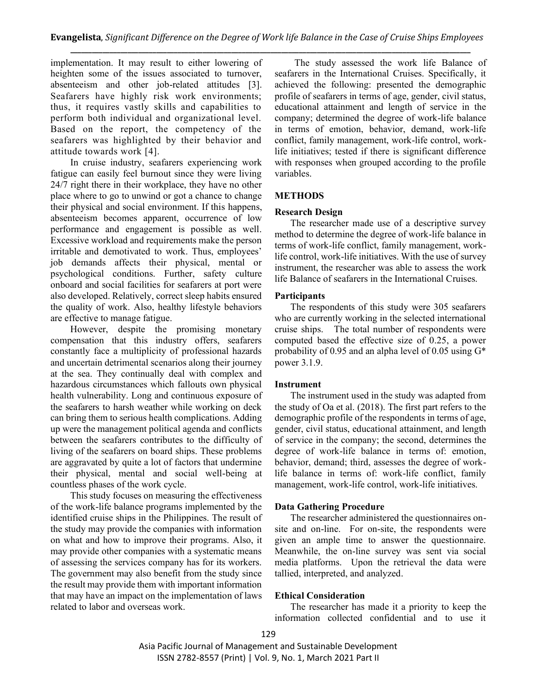implementation. It may result to either lowering of heighten some of the issues associated to turnover, absenteeism and other job-related attitudes [3]. Seafarers have highly risk work environments; thus, it requires vastly skills and capabilities to perform both individual and organizational level. Based on the report, the competency of the seafarers was highlighted by their behavior and attitude towards work [4].

In cruise industry, seafarers experiencing work fatigue can easily feel burnout since they were living 24/7 right there in their workplace, they have no other place where to go to unwind or got a chance to change their physical and social environment. If this happens, absenteeism becomes apparent, occurrence of low performance and engagement is possible as well. Excessive workload and requirements make the person irritable and demotivated to work. Thus, employees' job demands affects their physical, mental or psychological conditions. Further, safety culture onboard and social facilities for seafarers at port were also developed. Relatively, correct sleep habits ensured the quality of work. Also, healthy lifestyle behaviors are effective to manage fatigue.

However, despite the promising monetary compensation that this industry offers, seafarers constantly face a multiplicity of professional hazards and uncertain detrimental scenarios along their journey at the sea. They continually deal with complex and hazardous circumstances which fallouts own physical health vulnerability. Long and continuous exposure of the seafarers to harsh weather while working on deck can bring them to serious health complications. Adding up were the management political agenda and conflicts between the seafarers contributes to the difficulty of living of the seafarers on board ships. These problems are aggravated by quite a lot of factors that undermine their physical, mental and social well-being at countless phases of the work cycle.

This study focuses on measuring the effectiveness of the work-life balance programs implemented by the identified cruise ships in the Philippines. The result of the study may provide the companies with information on what and how to improve their programs. Also, it may provide other companies with a systematic means of assessing the services company has for its workers. The government may also benefit from the study since the result may provide them with important information that may have an impact on the implementation of laws related to labor and overseas work.

The study assessed the work life Balance of seafarers in the International Cruises. Specifically, it achieved the following: presented the demographic profile of seafarers in terms of age, gender, civil status, educational attainment and length of service in the company; determined the degree of work-life balance in terms of emotion, behavior, demand, work-life conflict, family management, work-life control, worklife initiatives; tested if there is significant difference with responses when grouped according to the profile variables.

# **METHODS**

#### **Research Design**

The researcher made use of a descriptive survey method to determine the degree of work-life balance in terms of work-life conflict, family management, worklife control, work-life initiatives. With the use of survey instrument, the researcher was able to assess the work life Balance of seafarers in the International Cruises.

## **Participants**

The respondents of this study were 305 seafarers who are currently working in the selected international cruise ships. The total number of respondents were computed based the effective size of 0.25, a power probability of 0.95 and an alpha level of 0.05 using G\* power 3.1.9.

#### **Instrument**

The instrument used in the study was adapted from the study of Oa et al. (2018). The first part refers to the demographic profile of the respondents in terms of age, gender, civil status, educational attainment, and length of service in the company; the second, determines the degree of work-life balance in terms of: emotion, behavior, demand; third, assesses the degree of worklife balance in terms of: work-life conflict, family management, work-life control, work-life initiatives.

## **Data Gathering Procedure**

The researcher administered the questionnaires onsite and on-line. For on-site, the respondents were given an ample time to answer the questionnaire. Meanwhile, the on-line survey was sent via social media platforms. Upon the retrieval the data were tallied, interpreted, and analyzed.

## **Ethical Consideration**

The researcher has made it a priority to keep the information collected confidential and to use it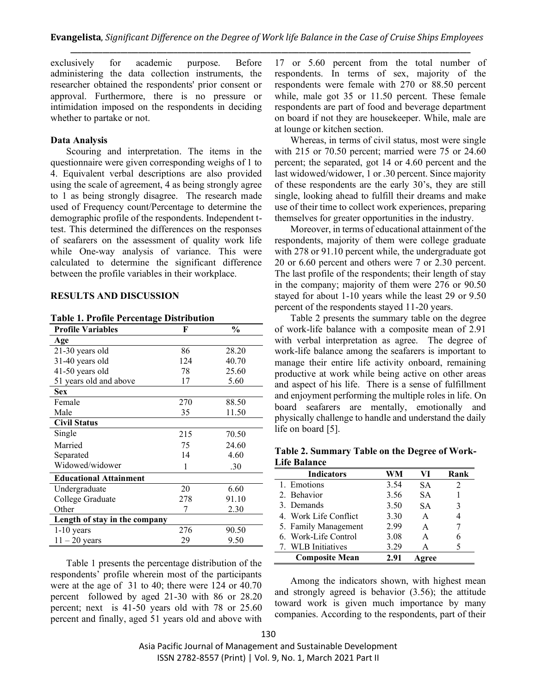exclusively for academic purpose. Before administering the data collection instruments, the researcher obtained the respondents' prior consent or approval. Furthermore, there is no pressure or intimidation imposed on the respondents in deciding whether to partake or not.

#### **Data Analysis**

Scouring and interpretation. The items in the questionnaire were given corresponding weighs of 1 to 4. Equivalent verbal descriptions are also provided using the scale of agreement, 4 as being strongly agree to 1 as being strongly disagree. The research made used of Frequency count/Percentage to determine the demographic profile of the respondents. Independent ttest. This determined the differences on the responses of seafarers on the assessment of quality work life while One-way analysis of variance. This were calculated to determine the significant difference between the profile variables in their workplace.

#### **RESULTS AND DISCUSSION**

**Table 1. Profile Percentage Distribution** 

| <b>Profile Variables</b>      | F   | $\frac{0}{0}$ |
|-------------------------------|-----|---------------|
| Age                           |     |               |
| 21-30 years old               | 86  | 28.20         |
| 31-40 years old               | 124 | 40.70         |
| 41-50 years old               | 78  | 25.60         |
| 51 years old and above        | 17  | 5.60          |
| <b>Sex</b>                    |     |               |
| Female                        | 270 | 88.50         |
| Male                          | 35  | 11.50         |
| <b>Civil Status</b>           |     |               |
| Single                        | 215 | 70.50         |
| Married                       | 75  | 24.60         |
| Separated                     | 14  | 4.60          |
| Widowed/widower               | 1   | .30           |
| <b>Educational Attainment</b> |     |               |
| Undergraduate                 | 20  | 6.60          |
| College Graduate              | 278 | 91.10         |
| Other                         | 7   | 2.30          |
| Length of stay in the company |     |               |
| $1-10$ years                  | 276 | 90.50         |
| $11 - 20$ years               | 29  | 9.50          |

Table 1 presents the percentage distribution of the respondents' profile wherein most of the participants were at the age of 31 to 40; there were 124 or 40.70 percent followed by aged 21-30 with 86 or 28.20 percent; next is 41-50 years old with 78 or 25.60 percent and finally, aged 51 years old and above with

17 or 5.60 percent from the total number of respondents. In terms of sex, majority of the respondents were female with 270 or 88.50 percent while, male got 35 or 11.50 percent. These female respondents are part of food and beverage department on board if not they are housekeeper. While, male are at lounge or kitchen section.

Whereas, in terms of civil status, most were single with 215 or 70.50 percent; married were 75 or 24.60 percent; the separated, got 14 or 4.60 percent and the last widowed/widower, 1 or .30 percent. Since majority of these respondents are the early 30's, they are still single, looking ahead to fulfill their dreams and make use of their time to collect work experiences, preparing themselves for greater opportunities in the industry.

Moreover, in terms of educational attainment of the respondents, majority of them were college graduate with 278 or 91.10 percent while, the undergraduate got 20 or 6.60 percent and others were 7 or 2.30 percent. The last profile of the respondents; their length of stay in the company; majority of them were 276 or 90.50 stayed for about 1-10 years while the least 29 or 9.50 percent of the respondents stayed 11-20 years.

Table 2 presents the summary table on the degree of work-life balance with a composite mean of 2.91 with verbal interpretation as agree. The degree of work-life balance among the seafarers is important to manage their entire life activity onboard, remaining productive at work while being active on other areas and aspect of his life. There is a sense of fulfillment and enjoyment performing the multiple roles in life. On board seafarers are mentally, emotionally and physically challenge to handle and understand the daily life on board [5].

**Table 2. Summary Table on the Degree of Work-Life Balance**

| <b>Indicators</b>     | WM   | VI        | Rank |
|-----------------------|------|-----------|------|
| 1. Emotions           | 3.54 | <b>SA</b> | 2    |
| 2. Behavior           | 3.56 | SА        |      |
| 3. Demands            | 3.50 | <b>SA</b> | 3    |
| 4. Work Life Conflict | 3.30 | A         |      |
| 5. Family Management  | 2.99 | A         |      |
| 6. Work-Life Control  | 3.08 | A         | 6    |
| 7. WLB Initiatives    | 3.29 | A         |      |
| <b>Composite Mean</b> | 2.91 | gree      |      |

Among the indicators shown, with highest mean and strongly agreed is behavior (3.56); the attitude toward work is given much importance by many companies. According to the respondents, part of their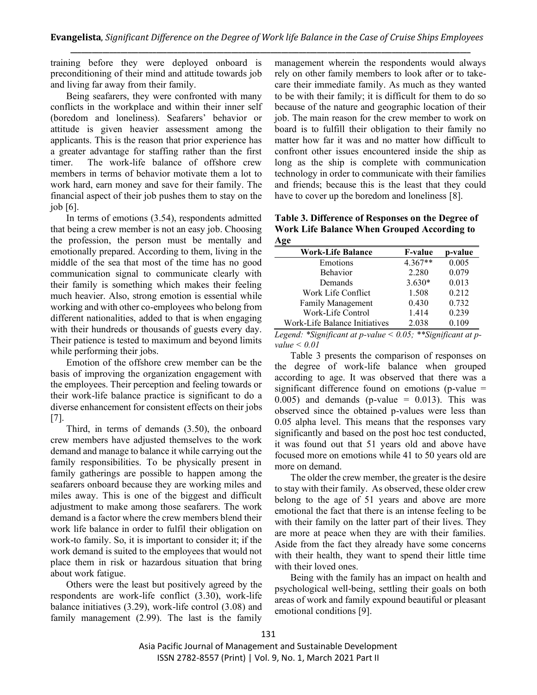training before they were deployed onboard is preconditioning of their mind and attitude towards job and living far away from their family.

Being seafarers, they were confronted with many conflicts in the workplace and within their inner self (boredom and loneliness). Seafarers' behavior or attitude is given heavier assessment among the applicants. This is the reason that prior experience has a greater advantage for staffing rather than the first timer. The work-life balance of offshore crew members in terms of behavior motivate them a lot to work hard, earn money and save for their family. The financial aspect of their job pushes them to stay on the job [6].

In terms of emotions (3.54), respondents admitted that being a crew member is not an easy job. Choosing the profession, the person must be mentally and emotionally prepared. According to them, living in the middle of the sea that most of the time has no good communication signal to communicate clearly with their family is something which makes their feeling much heavier. Also, strong emotion is essential while working and with other co-employees who belong from different nationalities, added to that is when engaging with their hundreds or thousands of guests every day. Their patience is tested to maximum and beyond limits while performing their jobs.

Emotion of the offshore crew member can be the basis of improving the organization engagement with the employees. Their perception and feeling towards or their work-life balance practice is significant to do a diverse enhancement for consistent effects on their jobs [7].

Third, in terms of demands (3.50), the onboard crew members have adjusted themselves to the work demand and manage to balance it while carrying out the family responsibilities. To be physically present in family gatherings are possible to happen among the seafarers onboard because they are working miles and miles away. This is one of the biggest and difficult adjustment to make among those seafarers. The work demand is a factor where the crew members blend their work life balance in order to fulfil their obligation on work-to family. So, it is important to consider it; if the work demand is suited to the employees that would not place them in risk or hazardous situation that bring about work fatigue.

Others were the least but positively agreed by the respondents are work-life conflict (3.30), work-life balance initiatives (3.29), work-life control (3.08) and family management (2.99). The last is the family management wherein the respondents would always rely on other family members to look after or to takecare their immediate family. As much as they wanted to be with their family; it is difficult for them to do so because of the nature and geographic location of their job. The main reason for the crew member to work on board is to fulfill their obligation to their family no matter how far it was and no matter how difficult to confront other issues encountered inside the ship as long as the ship is complete with communication technology in order to communicate with their families and friends; because this is the least that they could have to cover up the boredom and loneliness [8].

**Table 3. Difference of Responses on the Degree of Work Life Balance When Grouped According to Age**

| <b>F-value</b> | p-value |
|----------------|---------|
| 4.367**        | 0.005   |
| 2.280          | 0.079   |
| $3.630*$       | 0.013   |
| 1.508          | 0.212   |
| 0.430          | 0.732   |
| 1.414          | 0.239   |
| 2.038          | 0.109   |
|                |         |

*Legend: \*Significant at p-value < 0.05; \*\*Significant at pvalue < 0.01*

Table 3 presents the comparison of responses on the degree of work-life balance when grouped according to age. It was observed that there was a significant difference found on emotions (p-value  $=$  $0.005$ ) and demands (p-value = 0.013). This was observed since the obtained p-values were less than 0.05 alpha level. This means that the responses vary significantly and based on the post hoc test conducted, it was found out that 51 years old and above have focused more on emotions while 41 to 50 years old are more on demand.

The older the crew member, the greater is the desire to stay with their family. As observed, these older crew belong to the age of 51 years and above are more emotional the fact that there is an intense feeling to be with their family on the latter part of their lives. They are more at peace when they are with their families. Aside from the fact they already have some concerns with their health, they want to spend their little time with their loved ones.

Being with the family has an impact on health and psychological well‐being, settling their goals on both areas of work and family expound beautiful or pleasant emotional conditions [9].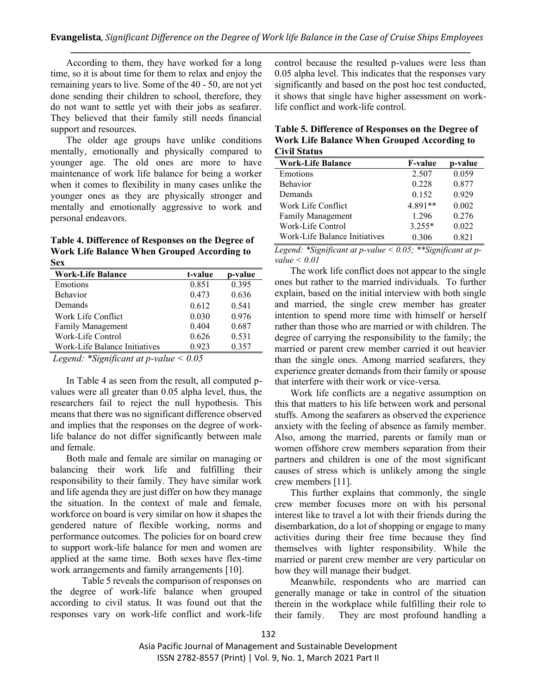According to them, they have worked for a long time, so it is about time for them to relax and enjoy the remaining years to live. Some of the 40 - 50, are not yet done sending their children to school, therefore, they do not want to settle yet with their jobs as seafarer. They believed that their family still needs financial support and resources.

The older age groups have unlike conditions mentally, emotionally and physically compared to younger age. The old ones are more to have maintenance of work life balance for being a worker when it comes to flexibility in many cases unlike the younger ones as they are physically stronger and mentally and emotionally aggressive to work and personal endeavors.

#### **Table 4. Difference of Responses on the Degree of Work Life Balance When Grouped According to Sex**

| <b>Work-Life Balance</b>      | t-value | p-value |
|-------------------------------|---------|---------|
| Emotions                      | 0.851   | 0.395   |
| <b>Behavior</b>               | 0.473   | 0.636   |
| Demands                       | 0.612   | 0.541   |
| Work Life Conflict            | 0.030   | 0.976   |
| <b>Family Management</b>      | 0.404   | 0.687   |
| Work-Life Control             | 0.626   | 0.531   |
| Work-Life Balance Initiatives | 0.923   | 0.357   |
|                               |         |         |

*Legend: \*Significant at p-value < 0.05*

In Table 4 as seen from the result, all computed pvalues were all greater than 0.05 alpha level, thus, the researchers fail to reject the null hypothesis. This means that there was no significant difference observed and implies that the responses on the degree of worklife balance do not differ significantly between male and female.

Both male and female are similar on managing or balancing their work life and fulfilling their responsibility to their family. They have similar work and life agenda they are just differ on how they manage the situation. In the context of male and female, workforce on board is very similar on how it shapes the gendered nature of flexible working, norms and performance outcomes. The policies for on board crew to support work-life balance for men and women are applied at the same time. Both sexes have flex-time work arrangements and family arrangements [10].

Table 5 reveals the comparison of responses on the degree of work-life balance when grouped according to civil status. It was found out that the responses vary on work-life conflict and work-life control because the resulted p-values were less than 0.05 alpha level. This indicates that the responses vary significantly and based on the post hoc test conducted, it shows that single have higher assessment on worklife conflict and work-life control.

**Table 5. Difference of Responses on the Degree of Work Life Balance When Grouped According to Civil Status**

| <b>Work-Life Balance</b>      | <b>F-value</b> | p-value |
|-------------------------------|----------------|---------|
| Emotions                      | 2.507          | 0.059   |
| <b>Behavior</b>               | 0.228          | 0.877   |
| Demands                       | 0.152          | 0.929   |
| Work Life Conflict            | 4.891**        | 0.002   |
| Family Management             | 1.296          | 0.276   |
| Work-Life Control             | $3.255*$       | 0.022   |
| Work-Life Balance Initiatives | 0.306          | 0.821   |

*Legend: \*Significant at p-value < 0.05; \*\*Significant at pvalue < 0.01*

The work life conflict does not appear to the single ones but rather to the married individuals. To further explain, based on the initial interview with both single and married, the single crew member has greater intention to spend more time with himself or herself rather than those who are married or with children. The degree of carrying the responsibility to the family; the married or parent crew member carried it out heavier than the single ones. Among married seafarers, they experience greater demands from their family or spouse that interfere with their work or vice-versa.

Work life conflicts are a negative assumption on this that matters to his life between work and personal stuffs. Among the seafarers as observed the experience anxiety with the feeling of absence as family member. Also, among the married, parents or family man or women offshore crew members separation from their partners and children is one of the most significant causes of stress which is unlikely among the single crew members [11].

This further explains that commonly, the single crew member focuses more on with his personal interest like to travel a lot with their friends during the disembarkation, do a lot of shopping or engage to many activities during their free time because they find themselves with lighter responsibility. While the married or parent crew member are very particular on how they will manage their budget.

Meanwhile, respondents who are married can generally manage or take in control of the situation therein in the workplace while fulfilling their role to their family. They are most profound handling a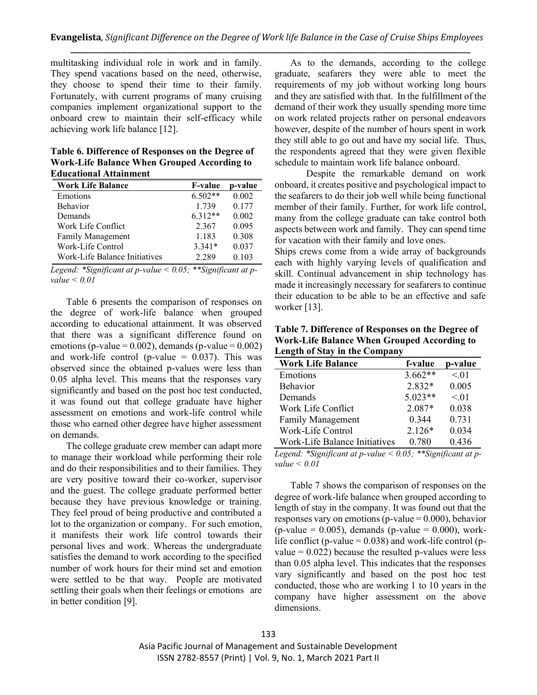multitasking individual role in work and in family. They spend vacations based on the need, otherwise, they choose to spend their time to their family. Fortunately, with current programs of many cruising companies implement organizational support to the onboard crew to maintain their self-efficacy while achieving work life balance [12].

#### **Table 6. Difference of Responses on the Degree of Work-Life Balance When Grouped According to Educational Attainment**

| емисанонат лианнисни          |                |         |
|-------------------------------|----------------|---------|
| <b>Work Life Balance</b>      | <b>F-value</b> | p-value |
| Emotions                      | $6.502**$      | 0.002   |
| <b>Behavior</b>               | 1.739          | 0.177   |
| Demands                       | $6.312**$      | 0.002   |
| Work Life Conflict            | 2.367          | 0.095   |
| <b>Family Management</b>      | 1.183          | 0.308   |
| Work-Life Control             | $3.341*$       | 0.037   |
| Work-Life Balance Initiatives | 2 2 8 9        | 0.103   |

*Legend: \*Significant at p-value < 0.05; \*\*Significant at pvalue < 0.01*

Table 6 presents the comparison of responses on the degree of work-life balance when grouped according to educational attainment. It was observed that there was a significant difference found on emotions (p-value =  $0.002$ ), demands (p-value =  $0.002$ ) and work-life control (p-value  $= 0.037$ ). This was observed since the obtained p-values were less than 0.05 alpha level. This means that the responses vary significantly and based on the post hoc test conducted, it was found out that college graduate have higher assessment on emotions and work-life control while those who earned other degree have higher assessment on demands.

The college graduate crew member can adapt more to manage their workload while performing their role and do their responsibilities and to their families. They are very positive toward their co-worker, supervisor and the guest. The college graduate performed better because they have previous knowledge or training. They feel proud of being productive and contributed a lot to the organization or company. For such emotion, it manifests their work life control towards their personal lives and work. Whereas the undergraduate satisfies the demand to work according to the specified number of work hours for their mind set and emotion were settled to be that way. People are motivated settling their goals when their feelings or emotions are in better condition [9].

As to the demands, according to the college graduate, seafarers they were able to meet the requirements of my job without working long hours and they are satisfied with that. In the fulfillment of the demand of their work they usually spending more time on work related projects rather on personal endeavors however, despite of the number of hours spent in work they still able to go out and have my social life. Thus, the respondents agreed that they were given flexible schedule to maintain work life balance onboard.

Despite the remarkable demand on work onboard, it creates positive and psychological impact to the seafarers to do their job well while being functional member of their family. Further, for work life control, many from the college graduate can take control both aspects between work and family. They can spend time for vacation with their family and love ones.

Ships crews come from a wide array of backgrounds each with highly varying levels of qualification and skill. Continual advancement in ship technology has made it increasingly necessary for seafarers to continue their education to be able to be an effective and safe worker [13].

**Table 7. Difference of Responses on the Degree of Work-Life Balance When Grouped According to Length of Stay in the Company**

| <b>Work Life Balance</b>      | f-value   | p-value |
|-------------------------------|-----------|---------|
| Emotions                      | $3.662**$ | < 01    |
| <b>Behavior</b>               | 2.832*    | 0.005   |
| Demands                       | $5.023**$ | < 01    |
| Work Life Conflict            | 2.087*    | 0.038   |
| <b>Family Management</b>      | 0.344     | 0.731   |
| Work-Life Control             | $2.126*$  | 0.034   |
| Work-Life Balance Initiatives | 0.780     | 0.436   |

*Legend: \*Significant at p-value < 0.05; \*\*Significant at pvalue < 0.01*

Table 7 shows the comparison of responses on the degree of work-life balance when grouped according to length of stay in the company. It was found out that the responses vary on emotions (p-value  $= 0.000$ ), behavior (p-value =  $0.005$ ), demands (p-value =  $0.000$ ), worklife conflict (p-value  $= 0.038$ ) and work-life control (pvalue  $= 0.022$ ) because the resulted p-values were less than 0.05 alpha level. This indicates that the responses vary significantly and based on the post hoc test conducted, those who are working 1 to 10 years in the company have higher assessment on the above dimensions.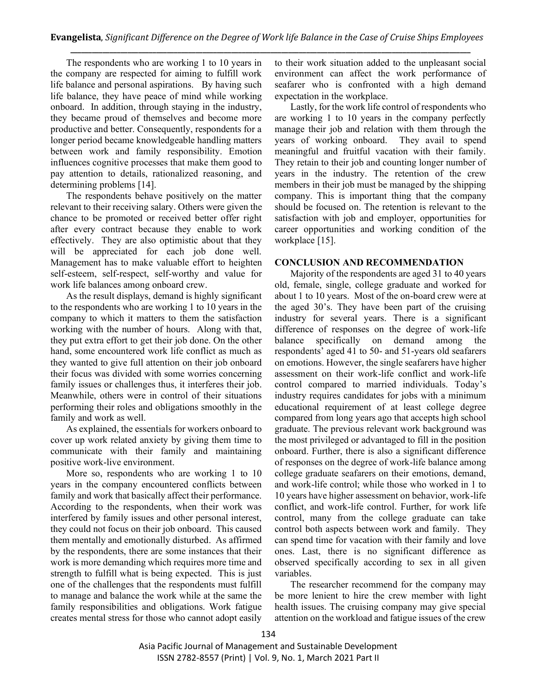The respondents who are working 1 to 10 years in the company are respected for aiming to fulfill work life balance and personal aspirations. By having such life balance, they have peace of mind while working onboard. In addition, through staying in the industry, they became proud of themselves and become more productive and better. Consequently, respondents for a longer period became knowledgeable handling matters between work and family responsibility. Emotion influences cognitive processes that make them good to pay attention to details, rationalized reasoning, and determining problems [14].

The respondents behave positively on the matter relevant to their receiving salary. Others were given the chance to be promoted or received better offer right after every contract because they enable to work effectively. They are also optimistic about that they will be appreciated for each job done well. Management has to make valuable effort to heighten self-esteem, self-respect, self-worthy and value for work life balances among onboard crew.

As the result displays, demand is highly significant to the respondents who are working 1 to 10 years in the company to which it matters to them the satisfaction working with the number of hours. Along with that, they put extra effort to get their job done. On the other hand, some encountered work life conflict as much as they wanted to give full attention on their job onboard their focus was divided with some worries concerning family issues or challenges thus, it interferes their job. Meanwhile, others were in control of their situations performing their roles and obligations smoothly in the family and work as well.

As explained, the essentials for workers onboard to cover up work related anxiety by giving them time to communicate with their family and maintaining positive work-live environment.

More so, respondents who are working 1 to 10 years in the company encountered conflicts between family and work that basically affect their performance. According to the respondents, when their work was interfered by family issues and other personal interest, they could not focus on their job onboard. This caused them mentally and emotionally disturbed. As affirmed by the respondents, there are some instances that their work is more demanding which requires more time and strength to fulfill what is being expected. This is just one of the challenges that the respondents must fulfill to manage and balance the work while at the same the family responsibilities and obligations. Work fatigue creates mental stress for those who cannot adopt easily to their work situation added to the unpleasant social environment can affect the work performance of seafarer who is confronted with a high demand expectation in the workplace.

Lastly, for the work life control of respondents who are working 1 to 10 years in the company perfectly manage their job and relation with them through the years of working onboard. They avail to spend meaningful and fruitful vacation with their family. They retain to their job and counting longer number of years in the industry. The retention of the crew members in their job must be managed by the shipping company. This is important thing that the company should be focused on. The retention is relevant to the satisfaction with job and employer, opportunities for career opportunities and working condition of the workplace [15].

#### **CONCLUSION AND RECOMMENDATION**

Majority of the respondents are aged 31 to 40 years old, female, single, college graduate and worked for about 1 to 10 years. Most of the on-board crew were at the aged 30's. They have been part of the cruising industry for several years. There is a significant difference of responses on the degree of work-life balance specifically on demand among the respondents' aged 41 to 50- and 51-years old seafarers on emotions. However, the single seafarers have higher assessment on their work-life conflict and work-life control compared to married individuals. Today's industry requires candidates for jobs with a minimum educational requirement of at least college degree compared from long years ago that accepts high school graduate. The previous relevant work background was the most privileged or advantaged to fill in the position onboard. Further, there is also a significant difference of responses on the degree of work-life balance among college graduate seafarers on their emotions, demand, and work-life control; while those who worked in 1 to 10 years have higher assessment on behavior, work-life conflict, and work-life control. Further, for work life control, many from the college graduate can take control both aspects between work and family. They can spend time for vacation with their family and love ones. Last, there is no significant difference as observed specifically according to sex in all given variables.

The researcher recommend for the company may be more lenient to hire the crew member with light health issues. The cruising company may give special attention on the workload and fatigue issues of the crew